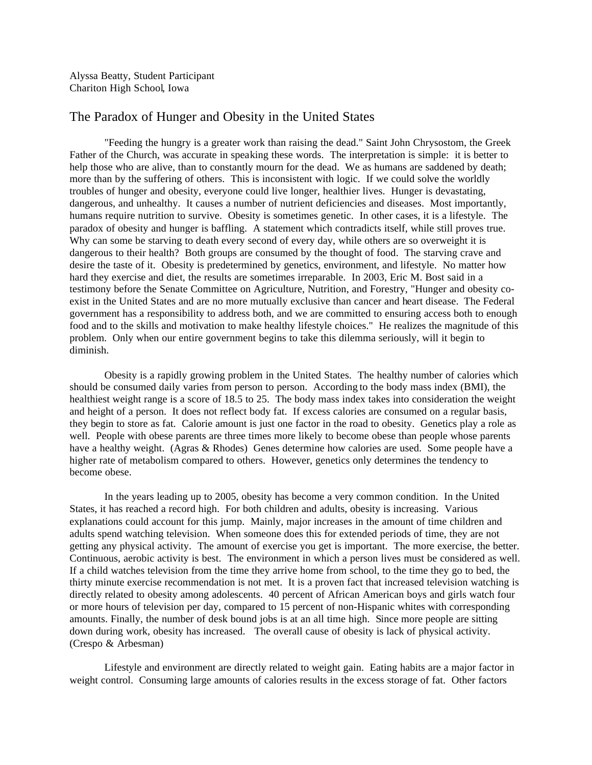Alyssa Beatty, Student Participant Chariton High School, Iowa

## The Paradox of Hunger and Obesity in the United States

"Feeding the hungry is a greater work than raising the dead." Saint John Chrysostom, the Greek Father of the Church, was accurate in speaking these words. The interpretation is simple: it is better to help those who are alive, than to constantly mourn for the dead. We as humans are saddened by death; more than by the suffering of others. This is inconsistent with logic. If we could solve the worldly troubles of hunger and obesity, everyone could live longer, healthier lives. Hunger is devastating, dangerous, and unhealthy. It causes a number of nutrient deficiencies and diseases. Most importantly, humans require nutrition to survive. Obesity is sometimes genetic. In other cases, it is a lifestyle. The paradox of obesity and hunger is baffling. A statement which contradicts itself, while still proves true. Why can some be starving to death every second of every day, while others are so overweight it is dangerous to their health? Both groups are consumed by the thought of food. The starving crave and desire the taste of it. Obesity is predetermined by genetics, environment, and lifestyle. No matter how hard they exercise and diet, the results are sometimes irreparable. In 2003, Eric M. Bost said in a testimony before the Senate Committee on Agriculture, Nutrition, and Forestry, "Hunger and obesity coexist in the United States and are no more mutually exclusive than cancer and heart disease. The Federal government has a responsibility to address both, and we are committed to ensuring access both to enough food and to the skills and motivation to make healthy lifestyle choices." He realizes the magnitude of this problem. Only when our entire government begins to take this dilemma seriously, will it begin to diminish.

Obesity is a rapidly growing problem in the United States. The healthy number of calories which should be consumed daily varies from person to person. According to the body mass index (BMI), the healthiest weight range is a score of 18.5 to 25. The body mass index takes into consideration the weight and height of a person. It does not reflect body fat. If excess calories are consumed on a regular basis, they begin to store as fat. Calorie amount is just one factor in the road to obesity. Genetics play a role as well. People with obese parents are three times more likely to become obese than people whose parents have a healthy weight. (Agras & Rhodes) Genes determine how calories are used. Some people have a higher rate of metabolism compared to others. However, genetics only determines the tendency to become obese.

In the years leading up to 2005, obesity has become a very common condition. In the United States, it has reached a record high. For both children and adults, obesity is increasing. Various explanations could account for this jump. Mainly, major increases in the amount of time children and adults spend watching television. When someone does this for extended periods of time, they are not getting any physical activity. The amount of exercise you get is important. The more exercise, the better. Continuous, aerobic activity is best. The environment in which a person lives must be considered as well. If a child watches television from the time they arrive home from school, to the time they go to bed, the thirty minute exercise recommendation is not met. It is a proven fact that increased television watching is directly related to obesity among adolescents. 40 percent of African American boys and girls watch four or more hours of television per day, compared to 15 percent of non-Hispanic whites with corresponding amounts. Finally, the number of desk bound jobs is at an all time high. Since more people are sitting down during work, obesity has increased. The overall cause of obesity is lack of physical activity. (Crespo & Arbesman)

Lifestyle and environment are directly related to weight gain. Eating habits are a major factor in weight control. Consuming large amounts of calories results in the excess storage of fat. Other factors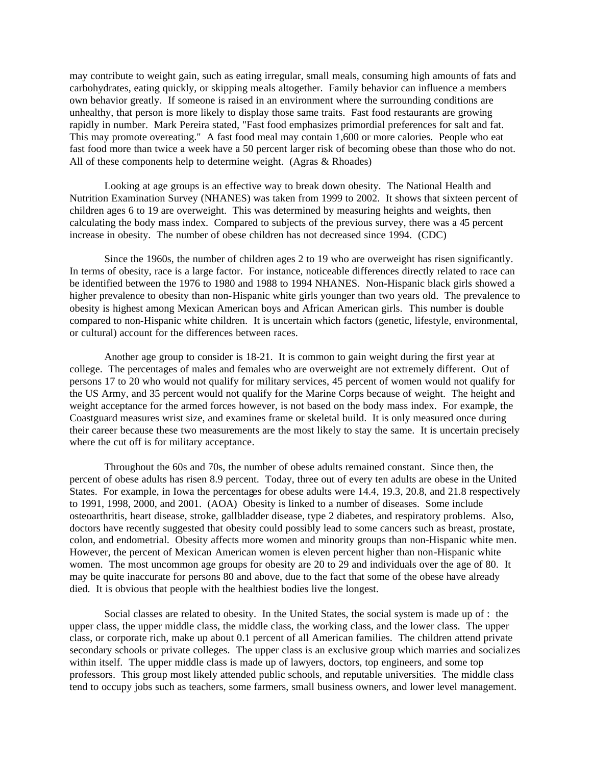may contribute to weight gain, such as eating irregular, small meals, consuming high amounts of fats and carbohydrates, eating quickly, or skipping meals altogether. Family behavior can influence a members own behavior greatly. If someone is raised in an environment where the surrounding conditions are unhealthy, that person is more likely to display those same traits. Fast food restaurants are growing rapidly in number. Mark Pereira stated, "Fast food emphasizes primordial preferences for salt and fat. This may promote overeating." A fast food meal may contain 1,600 or more calories. People who eat fast food more than twice a week have a 50 percent larger risk of becoming obese than those who do not. All of these components help to determine weight. (Agras & Rhoades)

Looking at age groups is an effective way to break down obesity. The National Health and Nutrition Examination Survey (NHANES) was taken from 1999 to 2002. It shows that sixteen percent of children ages 6 to 19 are overweight. This was determined by measuring heights and weights, then calculating the body mass index. Compared to subjects of the previous survey, there was a 45 percent increase in obesity. The number of obese children has not decreased since 1994. (CDC)

Since the 1960s, the number of children ages 2 to 19 who are overweight has risen significantly. In terms of obesity, race is a large factor. For instance, noticeable differences directly related to race can be identified between the 1976 to 1980 and 1988 to 1994 NHANES. Non-Hispanic black girls showed a higher prevalence to obesity than non-Hispanic white girls younger than two years old. The prevalence to obesity is highest among Mexican American boys and African American girls. This number is double compared to non-Hispanic white children. It is uncertain which factors (genetic, lifestyle, environmental, or cultural) account for the differences between races.

Another age group to consider is 18-21. It is common to gain weight during the first year at college. The percentages of males and females who are overweight are not extremely different. Out of persons 17 to 20 who would not qualify for military services, 45 percent of women would not qualify for the US Army, and 35 percent would not qualify for the Marine Corps because of weight. The height and weight acceptance for the armed forces however, is not based on the body mass index. For example, the Coastguard measures wrist size, and examines frame or skeletal build. It is only measured once during their career because these two measurements are the most likely to stay the same. It is uncertain precisely where the cut off is for military acceptance.

Throughout the 60s and 70s, the number of obese adults remained constant. Since then, the percent of obese adults has risen 8.9 percent. Today, three out of every ten adults are obese in the United States. For example, in Iowa the percentages for obese adults were 14.4, 19.3, 20.8, and 21.8 respectively to 1991, 1998, 2000, and 2001. (AOA) Obesity is linked to a number of diseases. Some include osteoarthritis, heart disease, stroke, gallbladder disease, type 2 diabetes, and respiratory problems. Also, doctors have recently suggested that obesity could possibly lead to some cancers such as breast, prostate, colon, and endometrial. Obesity affects more women and minority groups than non-Hispanic white men. However, the percent of Mexican American women is eleven percent higher than non-Hispanic white women. The most uncommon age groups for obesity are 20 to 29 and individuals over the age of 80. It may be quite inaccurate for persons 80 and above, due to the fact that some of the obese have already died. It is obvious that people with the healthiest bodies live the longest.

Social classes are related to obesity. In the United States, the social system is made up of : the upper class, the upper middle class, the middle class, the working class, and the lower class. The upper class, or corporate rich, make up about 0.1 percent of all American families. The children attend private secondary schools or private colleges. The upper class is an exclusive group which marries and socializes within itself. The upper middle class is made up of lawyers, doctors, top engineers, and some top professors. This group most likely attended public schools, and reputable universities. The middle class tend to occupy jobs such as teachers, some farmers, small business owners, and lower level management.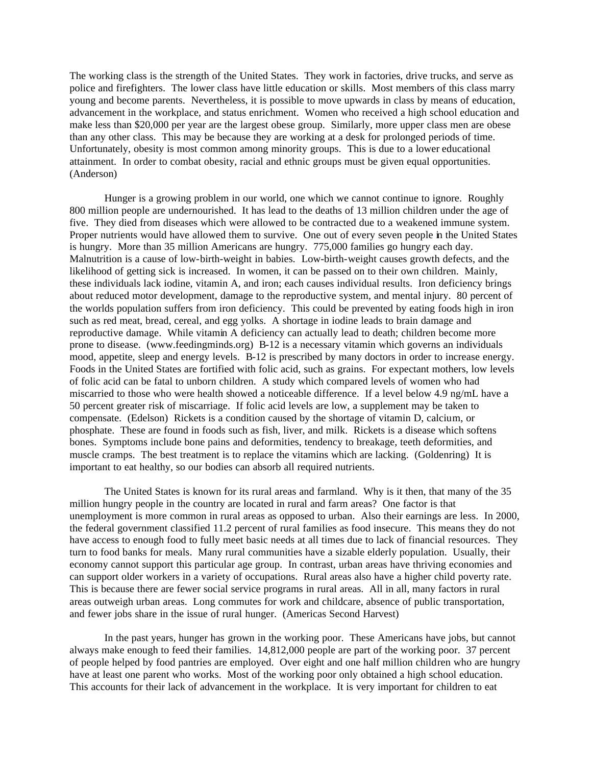The working class is the strength of the United States. They work in factories, drive trucks, and serve as police and firefighters. The lower class have little education or skills. Most members of this class marry young and become parents. Nevertheless, it is possible to move upwards in class by means of education, advancement in the workplace, and status enrichment. Women who received a high school education and make less than \$20,000 per year are the largest obese group. Similarly, more upper class men are obese than any other class. This may be because they are working at a desk for prolonged periods of time. Unfortunately, obesity is most common among minority groups. This is due to a lower educational attainment. In order to combat obesity, racial and ethnic groups must be given equal opportunities. (Anderson)

Hunger is a growing problem in our world, one which we cannot continue to ignore. Roughly 800 million people are undernourished. It has lead to the deaths of 13 million children under the age of five. They died from diseases which were allowed to be contracted due to a weakened immune system. Proper nutrients would have allowed them to survive. One out of every seven people in the United States is hungry. More than 35 million Americans are hungry. 775,000 families go hungry each day. Malnutrition is a cause of low-birth-weight in babies. Low-birth-weight causes growth defects, and the likelihood of getting sick is increased. In women, it can be passed on to their own children. Mainly, these individuals lack iodine, vitamin A, and iron; each causes individual results. Iron deficiency brings about reduced motor development, damage to the reproductive system, and mental injury. 80 percent of the worlds population suffers from iron deficiency. This could be prevented by eating foods high in iron such as red meat, bread, cereal, and egg yolks. A shortage in iodine leads to brain damage and reproductive damage. While vitamin A deficiency can actually lead to death; children become more prone to disease. (www.feedingminds.org) B-12 is a necessary vitamin which governs an individuals mood, appetite, sleep and energy levels. B-12 is prescribed by many doctors in order to increase energy. Foods in the United States are fortified with folic acid, such as grains. For expectant mothers, low levels of folic acid can be fatal to unborn children. A study which compared levels of women who had miscarried to those who were health showed a noticeable difference. If a level below 4.9 ng/mL have a 50 percent greater risk of miscarriage. If folic acid levels are low, a supplement may be taken to compensate. (Edelson) Rickets is a condition caused by the shortage of vitamin D, calcium, or phosphate. These are found in foods such as fish, liver, and milk. Rickets is a disease which softens bones. Symptoms include bone pains and deformities, tendency to breakage, teeth deformities, and muscle cramps. The best treatment is to replace the vitamins which are lacking. (Goldenring) It is important to eat healthy, so our bodies can absorb all required nutrients.

The United States is known for its rural areas and farmland. Why is it then, that many of the 35 million hungry people in the country are located in rural and farm areas? One factor is that unemployment is more common in rural areas as opposed to urban. Also their earnings are less. In 2000, the federal government classified 11.2 percent of rural families as food insecure. This means they do not have access to enough food to fully meet basic needs at all times due to lack of financial resources. They turn to food banks for meals. Many rural communities have a sizable elderly population. Usually, their economy cannot support this particular age group. In contrast, urban areas have thriving economies and can support older workers in a variety of occupations. Rural areas also have a higher child poverty rate. This is because there are fewer social service programs in rural areas. All in all, many factors in rural areas outweigh urban areas. Long commutes for work and childcare, absence of public transportation, and fewer jobs share in the issue of rural hunger. (Americas Second Harvest)

In the past years, hunger has grown in the working poor. These Americans have jobs, but cannot always make enough to feed their families. 14,812,000 people are part of the working poor. 37 percent of people helped by food pantries are employed. Over eight and one half million children who are hungry have at least one parent who works. Most of the working poor only obtained a high school education. This accounts for their lack of advancement in the workplace. It is very important for children to eat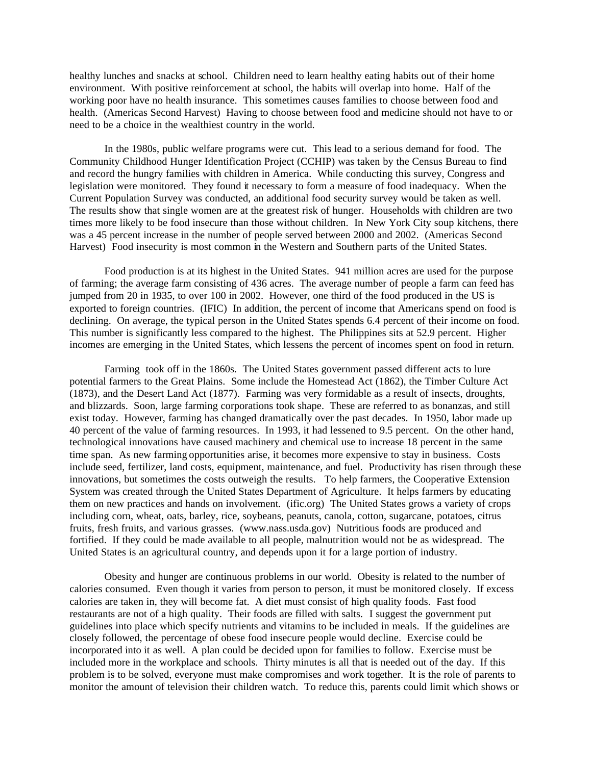healthy lunches and snacks at school. Children need to learn healthy eating habits out of their home environment. With positive reinforcement at school, the habits will overlap into home. Half of the working poor have no health insurance. This sometimes causes families to choose between food and health. (Americas Second Harvest) Having to choose between food and medicine should not have to or need to be a choice in the wealthiest country in the world.

In the 1980s, public welfare programs were cut. This lead to a serious demand for food. The Community Childhood Hunger Identification Project (CCHIP) was taken by the Census Bureau to find and record the hungry families with children in America. While conducting this survey, Congress and legislation were monitored. They found it necessary to form a measure of food inadequacy. When the Current Population Survey was conducted, an additional food security survey would be taken as well. The results show that single women are at the greatest risk of hunger. Households with children are two times more likely to be food insecure than those without children. In New York City soup kitchens, there was a 45 percent increase in the number of people served between 2000 and 2002. (Americas Second Harvest) Food insecurity is most common in the Western and Southern parts of the United States.

Food production is at its highest in the United States. 941 million acres are used for the purpose of farming; the average farm consisting of 436 acres. The average number of people a farm can feed has jumped from 20 in 1935, to over 100 in 2002. However, one third of the food produced in the US is exported to foreign countries. (IFIC) In addition, the percent of income that Americans spend on food is declining. On average, the typical person in the United States spends 6.4 percent of their income on food. This number is significantly less compared to the highest. The Philippines sits at 52.9 percent. Higher incomes are emerging in the United States, which lessens the percent of incomes spent on food in return.

Farming took off in the 1860s. The United States government passed different acts to lure potential farmers to the Great Plains. Some include the Homestead Act (1862), the Timber Culture Act (1873), and the Desert Land Act (1877). Farming was very formidable as a result of insects, droughts, and blizzards. Soon, large farming corporations took shape. These are referred to as bonanzas, and still exist today. However, farming has changed dramatically over the past decades. In 1950, labor made up 40 percent of the value of farming resources. In 1993, it had lessened to 9.5 percent. On the other hand, technological innovations have caused machinery and chemical use to increase 18 percent in the same time span. As new farming opportunities arise, it becomes more expensive to stay in business. Costs include seed, fertilizer, land costs, equipment, maintenance, and fuel. Productivity has risen through these innovations, but sometimes the costs outweigh the results. To help farmers, the Cooperative Extension System was created through the United States Department of Agriculture. It helps farmers by educating them on new practices and hands on involvement. (ific.org) The United States grows a variety of crops including corn, wheat, oats, barley, rice, soybeans, peanuts, canola, cotton, sugarcane, potatoes, citrus fruits, fresh fruits, and various grasses. (www.nass.usda.gov) Nutritious foods are produced and fortified. If they could be made available to all people, malnutrition would not be as widespread. The United States is an agricultural country, and depends upon it for a large portion of industry.

Obesity and hunger are continuous problems in our world. Obesity is related to the number of calories consumed. Even though it varies from person to person, it must be monitored closely. If excess calories are taken in, they will become fat. A diet must consist of high quality foods. Fast food restaurants are not of a high quality. Their foods are filled with salts. I suggest the government put guidelines into place which specify nutrients and vitamins to be included in meals. If the guidelines are closely followed, the percentage of obese food insecure people would decline. Exercise could be incorporated into it as well. A plan could be decided upon for families to follow. Exercise must be included more in the workplace and schools. Thirty minutes is all that is needed out of the day. If this problem is to be solved, everyone must make compromises and work together. It is the role of parents to monitor the amount of television their children watch. To reduce this, parents could limit which shows or